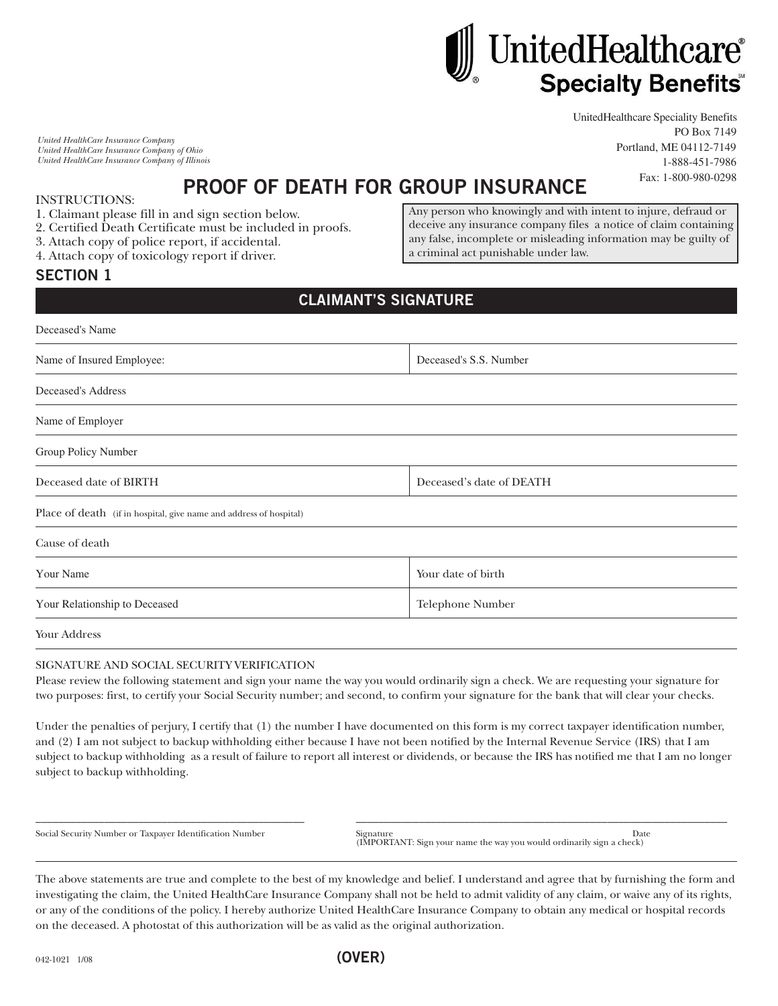# UnitedHealthcare® **Specialty Benefits®**

*United HealthCare Insurance Company United HealthCare Insurance Company of Ohio United HealthCare Insurance Company of Illinois*  UnitedHealthcare Speciality Benefits PO Box 7149 Portland, ME 04112-7149 1-888-451-7986 Fax: 1-800-980-0298

# **PROOF OF DEATH FOR GROUP INSURANCE**

INSTRUCTIONS:

- 1. Claimant please fill in and sign section below.
- 2. Certified Death Certificate must be included in proofs.
- 3. Attach copy of police report, if accidental.
- 4. Attach copy of toxicology report if driver.

#### Any person who knowingly and with intent to injure, defraud or deceive any insurance company files a notice of claim containing any false, incomplete or misleading information may be guilty of a criminal act punishable under law.

#### **SECTION 1**

### **CLAIMANT'S SIGNATURE**

| Deceased's Name                                                    |                          |  |  |
|--------------------------------------------------------------------|--------------------------|--|--|
| Name of Insured Employee:                                          | Deceased's S.S. Number   |  |  |
| Deceased's Address                                                 |                          |  |  |
| Name of Employer                                                   |                          |  |  |
| Group Policy Number                                                |                          |  |  |
| Deceased date of BIRTH                                             | Deceased's date of DEATH |  |  |
| Place of death (if in hospital, give name and address of hospital) |                          |  |  |
| Cause of death                                                     |                          |  |  |
| Your Name                                                          | Your date of birth       |  |  |
| Your Relationship to Deceased                                      | Telephone Number         |  |  |
| Your Address                                                       |                          |  |  |
|                                                                    |                          |  |  |

#### SIGNATURE AND SOCIAL SECURITY VERIFICATION

Please review the following statement and sign your name the way you would ordinarily sign a check. We are requesting your signature for two purposes: first, to certify your Social Security number; and second, to confirm your signature for the bank that will clear your checks.

Under the penalties of perjury, I certify that (1) the number I have documented on this form is my correct taxpayer identification number, and (2) I am not subject to backup withholding either because I have not been notified by the Internal Revenue Service (IRS) that I am subject to backup withholding as a result of failure to report all interest or dividends, or because the IRS has notified me that I am no longer subject to backup withholding.

\_\_\_\_\_\_\_\_\_\_\_\_\_\_\_\_\_\_\_\_\_\_\_\_\_\_\_\_\_\_\_\_\_\_\_\_\_\_\_\_\_\_\_\_\_\_\_ \_\_\_\_\_\_\_\_\_\_\_\_\_\_\_\_\_\_\_\_\_\_\_\_\_\_\_\_\_\_\_\_\_\_\_\_\_\_\_\_\_\_\_\_\_\_\_\_\_\_\_\_\_\_\_\_\_\_\_\_\_\_\_\_\_

Social Security Number or Taxpayer Identification Number Signature Signature Date (IMPORTANT: Sign your name the way you would ordinarily sign a check)

The above statements are true and complete to the best of my knowledge and belief. I understand and agree that by furnishing the form and investigating the claim, the United HealthCare Insurance Company shall not be held to admit validity of any claim, or waive any of its rights, or any of the conditions of the policy. I hereby authorize United HealthCare Insurance Company to obtain any medical or hospital records on the deceased. A photostat of this authorization will be as valid as the original authorization.

**(OVER)**